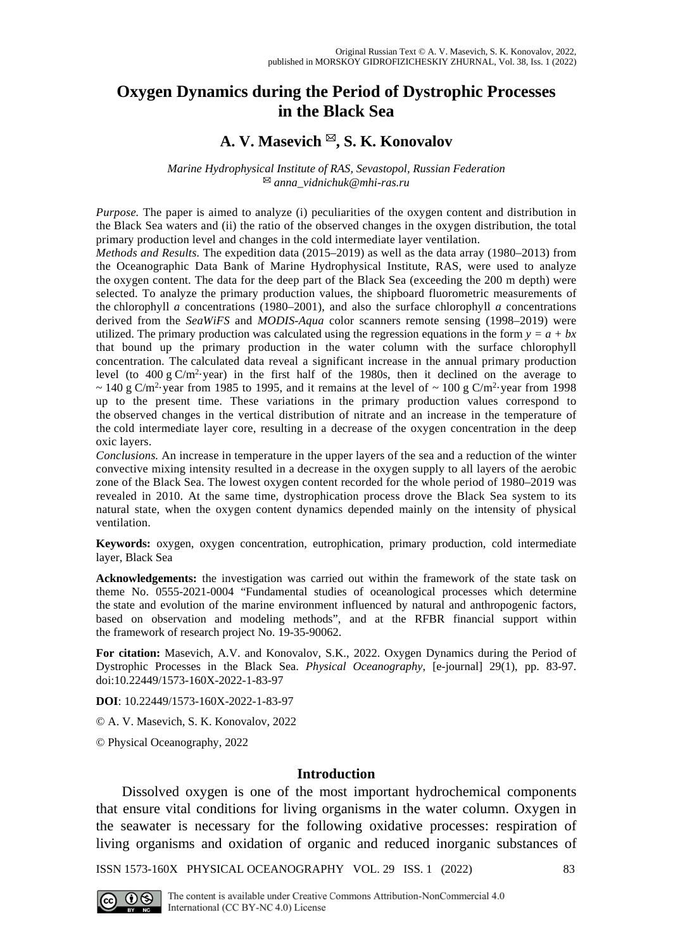# **Oxygen Dynamics during the Period of Dystrophic Processes in the Black Sea**

# **A. V. Masevich , S. K. Konovalov**

*Marine Hydrophysical Institute of RAS, Sevastopol, Russian Federation [anna\\_vidnichuk@mhi-ras.ru](mailto:anna_vidnichuk@mhi-ras.ru)*

*Purpose.* The paper is aimed to analyze (i) peculiarities of the oxygen content and distribution in the Black Sea waters and (ii) the ratio of the observed changes in the oxygen distribution, the total primary production level and changes in the cold intermediate layer ventilation.

*Methods and Results.* The expedition data (2015–2019) as well as the data array (1980–2013) from the Oceanographic Data Bank of Marine Hydrophysical Institute, RAS, were used to analyze the oxygen content. The data for the deep part of the Black Sea (exceeding the 200 m depth) were selected. To analyze the primary production values, the shipboard fluorometric measurements of the chlorophyll *a* concentrations (1980–2001), and also the surface chlorophyll *a* concentrations derived from the *SeaWiFS* and *MODIS-Aqua* color scanners remote sensing (1998–2019) were utilized. The primary production was calculated using the regression equations in the form  $y = a + bx$ that bound up the primary production in the water column with the surface chlorophyll concentration. The calculated data reveal a significant increase in the annual primary production level (to  $400 \text{ g C/m}^2$  year) in the first half of the 1980s, then it declined on the average to  $\sim$  140 g C/m<sup>2</sup>·year from 1985 to 1995, and it remains at the level of  $\sim$  100 g C/m<sup>2</sup>·year from 1998 up to the present time. These variations in the primary production values correspond to the observed changes in the vertical distribution of nitrate and an increase in the temperature of the cold intermediate layer core, resulting in a decrease of the oxygen concentration in the deep oxic layers.

*Conclusions.* An increase in temperature in the upper layers of the sea and a reduction of the winter convective mixing intensity resulted in a decrease in the oxygen supply to all layers of the aerobic zone of the Black Sea. The lowest oxygen content recorded for the whole period of 1980–2019 was revealed in 2010. At the same time, dystrophication process drove the Black Sea system to its natural state, when the oxygen content dynamics depended mainly on the intensity of physical ventilation.

**Keywords:** oxygen, oxygen concentration, eutrophication, primary production, cold intermediate layer, Black Sea

**Acknowledgements:** the investigation was carried out within the framework of the state task on theme No. 0555-2021-0004 "Fundamental studies of oceanological processes which determine the state and evolution of the marine environment influenced by natural and anthropogenic factors, based on observation and modeling methods", and at the RFBR financial support within the framework of research project No. 19-35-90062.

**For citation:** Masevich, A.V. and Konovalov, S.K., 2022. Oxygen Dynamics during the Period of Dystrophic Processes in the Black Sea. *Physical Oceanography*, [e-journal] 29(1), pp. 83-97. doi:10.22449/1573-160X-2022-1-83-97

**DOI**: 10.22449/1573-160X-2022-1-83-97

© A. V. Masevich, S. K. Konovalov, 2022

© Physical Oceanography, 2022

### **Introduction**

Dissolved oxygen is one of the most important hydrochemical components that ensure vital conditions for living organisms in the water column. Oxygen in the seawater is necessary for the following oxidative processes: respiration of living organisms and oxidation of organic and reduced inorganic substances of

ISSN 1573-160X PHYSICAL OCEANOGRAPHY VOL. 29 ISS. 1 (2022) 83

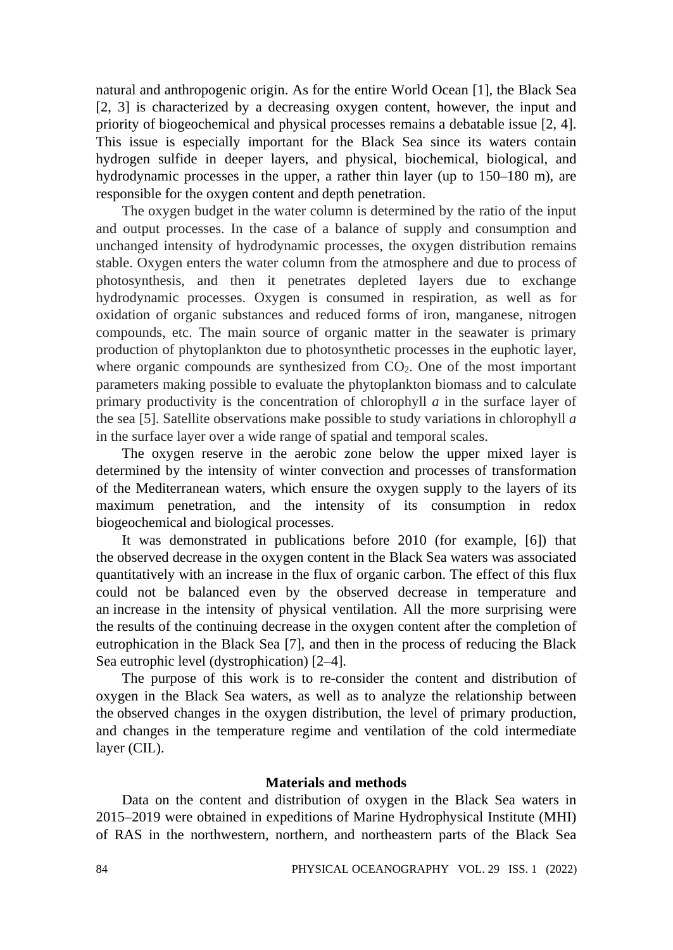natural and anthropogenic origin. As for the entire World Ocean [1], the Black Sea [2, 3] is characterized by a decreasing oxygen content, however, the input and priority of biogeochemical and physical processes remains a debatable issue [2, 4]. This issue is especially important for the Black Sea since its waters contain hydrogen sulfide in deeper layers, and physical, biochemical, biological, and hydrodynamic processes in the upper, a rather thin layer (up to 150–180 m), are responsible for the oxygen content and depth penetration.

The oxygen budget in the water column is determined by the ratio of the input and output processes. In the case of a balance of supply and consumption and unchanged intensity of hydrodynamic processes, the oxygen distribution remains stable. Oxygen enters the water column from the atmosphere and due to process of photosynthesis, and then it penetrates depleted layers due to exchange hydrodynamic processes. Oxygen is consumed in respiration, as well as for oxidation of organic substances and reduced forms of iron, manganese, nitrogen compounds, etc. The main source of organic matter in the seawater is primary production of phytoplankton due to photosynthetic processes in the euphotic layer, where organic compounds are synthesized from  $CO<sub>2</sub>$ . One of the most important parameters making possible to evaluate the phytoplankton biomass and to calculate primary productivity is the concentration of chlorophyll *a* in the surface layer of the sea [5]. Satellite observations make possible to study variations in chlorophyll *a* in the surface layer over a wide range of spatial and temporal scales.

The oxygen reserve in the aerobic zone below the upper mixed layer is determined by the intensity of winter convection and processes of transformation of the Mediterranean waters, which ensure the oxygen supply to the layers of its maximum penetration, and the intensity of its consumption in redox biogeochemical and biological processes.

It was demonstrated in publications before 2010 (for example, [6]) that the observed decrease in the oxygen content in the Black Sea waters was associated quantitatively with an increase in the flux of organic carbon. The effect of this flux could not be balanced even by the observed decrease in temperature and an increase in the intensity of physical ventilation. All the more surprising were the results of the continuing decrease in the oxygen content after the completion of eutrophication in the Black Sea [7], and then in the process of reducing the Black Sea eutrophic level (dystrophication) [2–4].

The purpose of this work is to re-consider the content and distribution of oxygen in the Black Sea waters, as well as to analyze the relationship between the observed changes in the oxygen distribution, the level of primary production, and changes in the temperature regime and ventilation of the cold intermediate layer (CIL).

### **Materials and methods**

Data on the content and distribution of oxygen in the Black Sea waters in 2015–2019 were obtained in expeditions of Marine Hydrophysical Institute (MHI) of RAS in the northwestern, northern, and northeastern parts of the Black Sea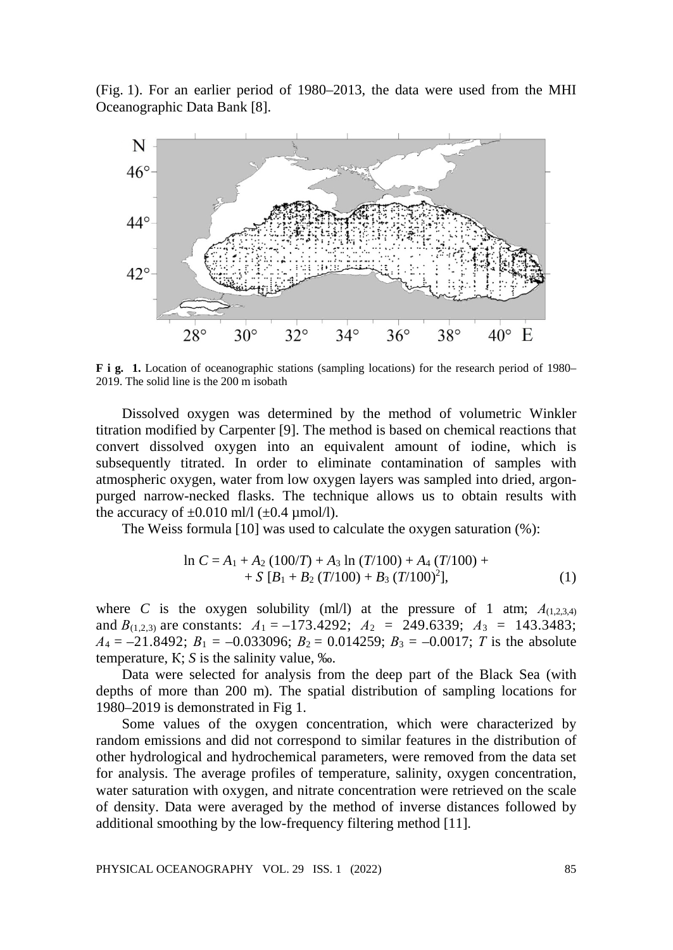(Fig. 1). For an earlier period of 1980–2013, the data were used from the MHI Oceanographic Data Bank [8].



**F i g. 1.** Location of oceanographic stations (sampling locations) for the research period of 1980– 2019. The solid line is the 200 m isobath

Dissolved oxygen was determined by the method of volumetric Winkler titration modified by Carpenter [9]. The method is based on chemical reactions that convert dissolved oxygen into an equivalent amount of iodine, which is subsequently titrated. In order to eliminate contamination of samples with atmospheric oxygen, water from low oxygen layers was sampled into dried, argonpurged narrow-necked flasks. The technique allows us to obtain results with the accuracy of  $\pm 0.010$  ml/l ( $\pm 0.4$  µmol/l).

The Weiss formula [10] was used to calculate the oxygen saturation (%):

$$
\ln C = A_1 + A_2 (100/T) + A_3 \ln (T/100) + A_4 (T/100) ++ S [B_1 + B_2 (T/100) + B_3 (T/100)^2],
$$
 (1)

where *C* is the oxygen solubility (ml/l) at the pressure of 1 atm;  $A_{(1,2,3,4)}$ and  $B_{(1,2,3)}$  are constants:  $A_1 = -173.4292$ ;  $A_2 = 249.6339$ ;  $A_3 = 143.3483$ ;  $A_4 = -21.8492$ ;  $B_1 = -0.033096$ ;  $B_2 = 0.014259$ ;  $B_3 = -0.0017$ ; *T* is the absolute temperature, К; *S* is the salinity value, ‰.

Data were selected for analysis from the deep part of the Black Sea (with depths of more than 200 m). The spatial distribution of sampling locations for 1980–2019 is demonstrated in Fig 1.

Some values of the oxygen concentration, which were characterized by random emissions and did not correspond to similar features in the distribution of other hydrological and hydrochemical parameters, were removed from the data set for analysis. The average profiles of temperature, salinity, oxygen concentration, water saturation with oxygen, and nitrate concentration were retrieved on the scale of density. Data were averaged by the method of inverse distances followed by additional smoothing by the low-frequency filtering method [11].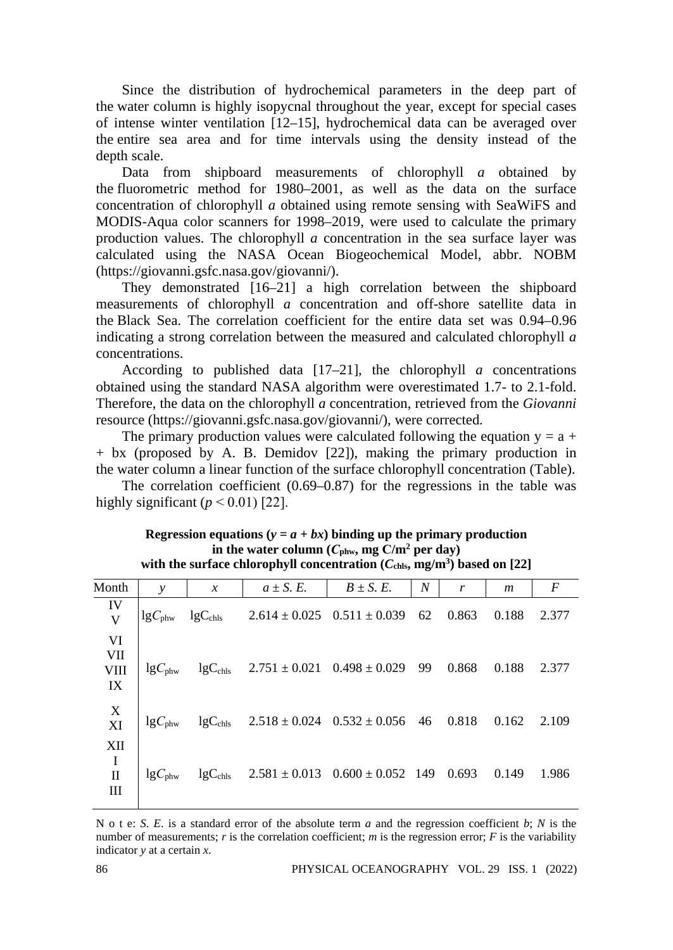Since the distribution of hydrochemical parameters in the deep part of the water column is highly isopycnal throughout the year, except for special cases of intense winter ventilation [12–15], hydrochemical data can be averaged over the entire sea area and for time intervals using the density instead of the depth scale.

Data from shipboard measurements of chlorophyll *a* obtained by the fluorometric method for 1980–2001, as well as the data on the surface concentration of chlorophyll *a* obtained using remote sensing with SeaWiFS and MODIS-Aqua color scanners for 1998–2019, were used to calculate the primary production values. The chlorophyll *a* concentration in the sea surface layer was calculated using the NASA Ocean Biogeochemical Model, abbr. NOBM (https://giovanni.gsfc.nasa.gov/giovanni/).

They demonstrated [16–21] a high correlation between the shipboard measurements of chlorophyll *a* concentration and off-shore satellite data in the Black Sea. The correlation coefficient for the entire data set was 0.94–0.96 indicating a strong correlation between the measured and calculated chlorophyll *a* concentrations.

According to published data  $[17-21]$ , the chlorophyll *a* concentrations obtained using the standard NASA algorithm were overestimated 1.7- to 2.1-fold. Therefore, the data on the chlorophyll *a* concentration, retrieved from the *Giovanni* resource (https://giovanni.gsfc.nasa.gov/giovanni/), were corrected.

The primary production values were calculated following the equation  $y = a + b$ + bx (proposed by A. B. Demidov [22]), making the primary production in the water column a linear function of the surface chlorophyll concentration (Table).

The correlation coefficient (0.69–0.87) for the regressions in the table was highly significant  $(p < 0.01)$  [22].

| Month                         | $\mathcal{V}$      | $\boldsymbol{x}$    | $a \pm S$ . E.                                     | $B \pm S$ . E. | $\boldsymbol{N}$ | r     | m     | F     |
|-------------------------------|--------------------|---------------------|----------------------------------------------------|----------------|------------------|-------|-------|-------|
| IV<br>V                       | $\lg C_{\rm phw}$  | $lgC_{\text{chls}}$ | $2.614 \pm 0.025$ $0.511 \pm 0.039$                |                | 62               | 0.863 | 0.188 | 2.377 |
| VI<br>VII<br>VIII<br>IX       | $\lg C_{\rm phw}$  |                     | $lgC_{chls}$ 2.751 ± 0.021 0.498 ± 0.029 99        |                |                  | 0.868 | 0.188 | 2.377 |
| X<br>XI                       | $\lg C_{\rm phw}$  |                     | $lgC_{\text{chls}}$ 2.518 ± 0.024 0.532 ± 0.056 46 |                |                  | 0.818 | 0.162 | 2.109 |
| XII<br>I<br>$\mathbf{I}$<br>Ш | $lgC_{\text{phw}}$ |                     | $lgC_{chls}$ 2.581 ± 0.013 0.600 ± 0.052 149 0.693 |                |                  |       | 0.149 | 1.986 |

**Regression equations (** $y = a + bx$ **) binding up the primary production** in the water column  $(C_{\text{phw}}, mg C/m^2$  per day) with the surface chlorophyll concentration ( $C_{\text{chls}},$  mg/m<sup>3</sup>) based on [22]

N o t e: *S*. *E*. is a standard error of the absolute term *a* and the regression coefficient *b*; *N* is the number of measurements;  $r$  is the correlation coefficient;  $m$  is the regression error;  $F$  is the variability indicator *y* at a certain *x*.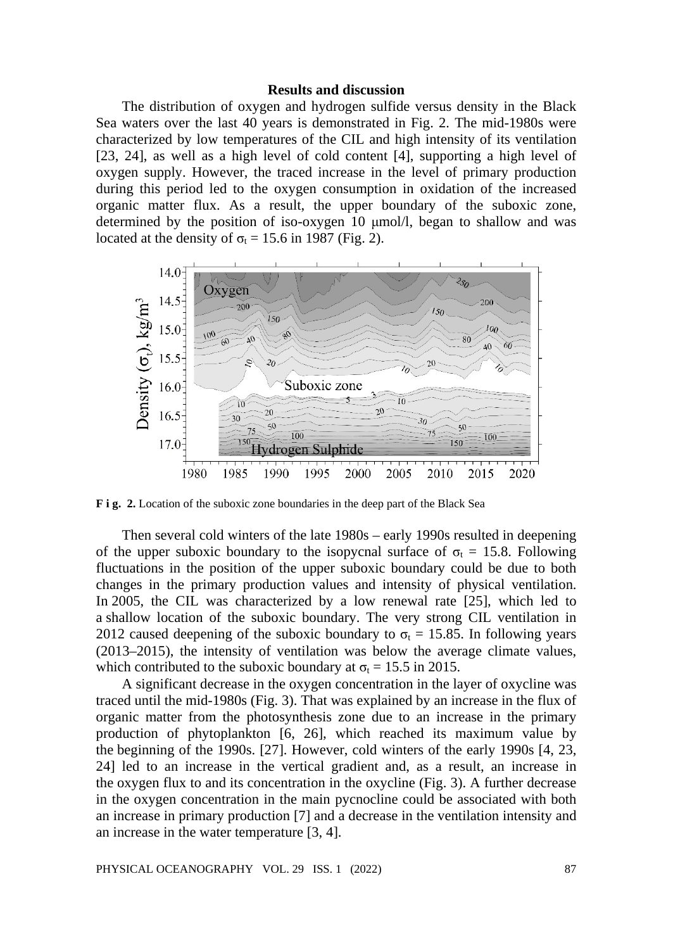## **Results and discussion**

The distribution of oxygen and hydrogen sulfide versus density in the Black Sea waters over the last 40 years is demonstrated in Fig. 2. The mid-1980s were characterized by low temperatures of the CIL and high intensity of its ventilation [23, 24], as well as a high level of cold content [4], supporting a high level of oxygen supply. However, the traced increase in the level of primary production during this period led to the oxygen consumption in oxidation of the increased organic matter flux. As a result, the upper boundary of the suboxic zone, determined by the position of iso-oxygen 10 μmol/l, began to shallow and was located at the density of  $\sigma_t = 15.6$  in 1987 (Fig. 2).



**F i g. 2.** Location of the suboxic zone boundaries in the deep part of the Black Sea

Then several cold winters of the late 1980s – early 1990s resulted in deepening of the upper suboxic boundary to the isopycnal surface of  $\sigma_t = 15.8$ . Following fluctuations in the position of the upper suboxic boundary could be due to both changes in the primary production values and intensity of physical ventilation. In 2005, the CIL was characterized by a low renewal rate [25], which led to a shallow location of the suboxic boundary. The very strong CIL ventilation in 2012 caused deepening of the suboxic boundary to  $\sigma_t = 15.85$ . In following years (2013–2015), the intensity of ventilation was below the average climate values, which contributed to the suboxic boundary at  $\sigma_t = 15.5$  in 2015.

A significant decrease in the oxygen concentration in the layer of oxycline was traced until the mid-1980s (Fig. 3). That was explained by an increase in the flux of organic matter from the photosynthesis zone due to an increase in the primary production of phytoplankton [6, 26], which reached its maximum value by the beginning of the 1990s. [27]. However, cold winters of the early 1990s [4, 23, 24] led to an increase in the vertical gradient and, as a result, an increase in the oxygen flux to and its concentration in the oxycline (Fig. 3). A further decrease in the oxygen concentration in the main pycnocline could be associated with both an increase in primary production [7] and a decrease in the ventilation intensity and an increase in the water temperature [3, 4].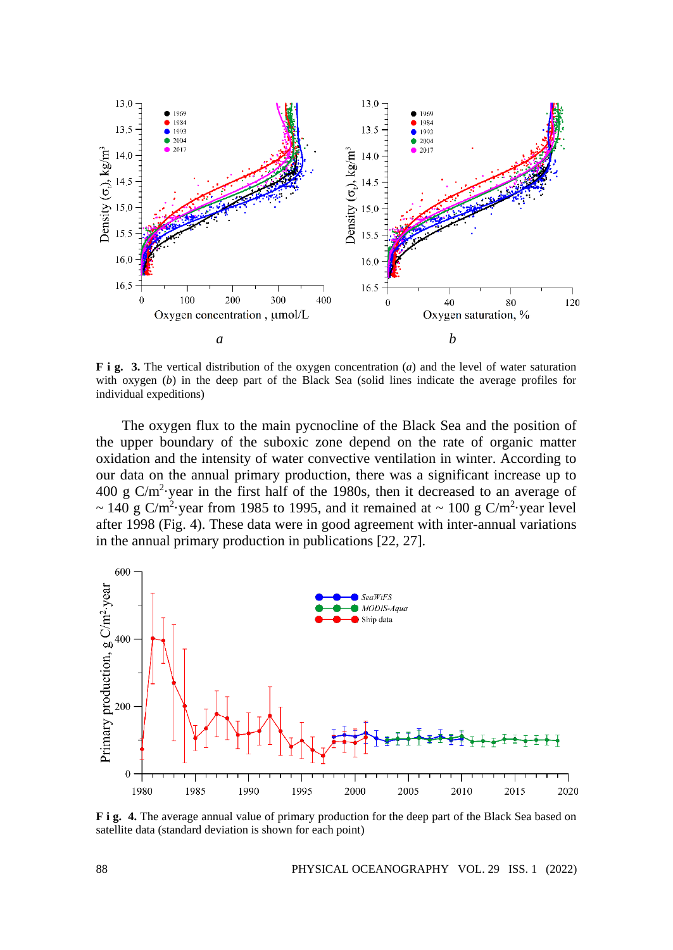

**F i g. 3.** The vertical distribution of the oxygen concentration (*a*) and the level of water saturation with oxygen (*b*) in the deep part of the Black Sea (solid lines indicate the average profiles for individual expeditions)

The oxygen flux to the main pycnocline of the Black Sea and the position of the upper boundary of the suboxic zone depend on the rate of organic matter oxidation and the intensity of water convective ventilation in winter. According to our data on the annual primary production, there was a significant increase up to  $400 \text{ g C/m}^2$  year in the first half of the 1980s, then it decreased to an average of  $\sim$  140 g C/m<sup>2</sup> year from 1985 to 1995, and it remained at  $\sim$  100 g C/m<sup>2</sup> year level after 1998 (Fig. 4). These data were in good agreement with inter-annual variations in the annual primary production in publications [22, 27].



**F** i g. 4. The average annual value of primary production for the deep part of the Black Sea based on satellite data (standard deviation is shown for each point)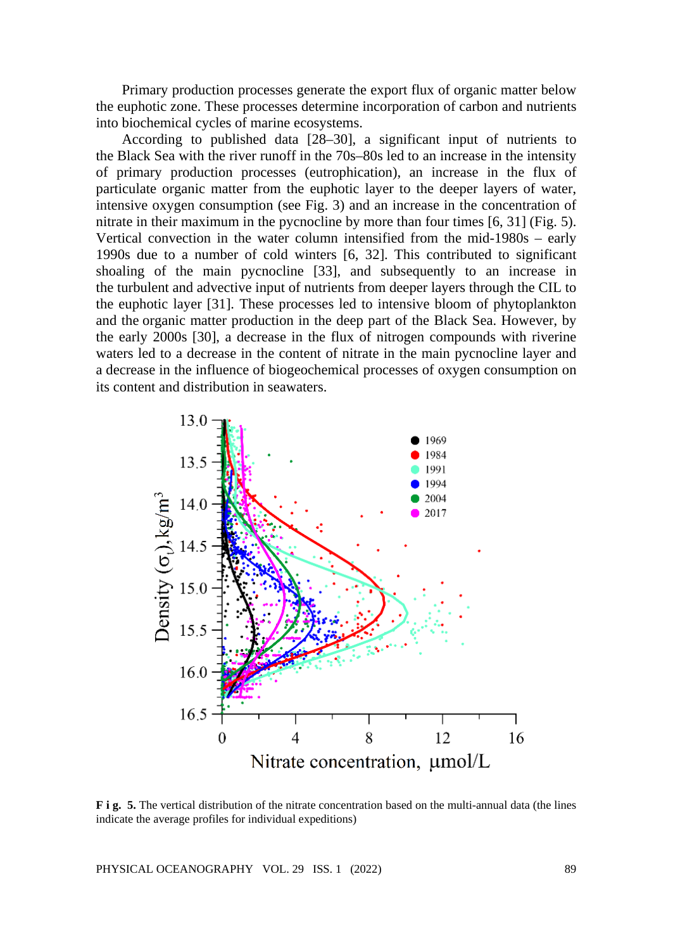Primary production processes generate the export flux of organic matter below the euphotic zone. These processes determine incorporation of carbon and nutrients into biochemical cycles of marine ecosystems.

According to published data [28–30], a significant input of nutrients to the Black Sea with the river runoff in the 70s–80s led to an increase in the intensity of primary production processes (eutrophication), an increase in the flux of particulate organic matter from the euphotic layer to the deeper layers of water, intensive oxygen consumption (see Fig. 3) and an increase in the concentration of nitrate in their maximum in the pycnocline by more than four times [6, 31] (Fig. 5). Vertical convection in the water column intensified from the mid-1980s – early 1990s due to a number of cold winters [6, 32]. This contributed to significant shoaling of the main pycnocline [33], and subsequently to an increase in the turbulent and advective input of nutrients from deeper layers through the CIL to the euphotic layer [31]. These processes led to intensive bloom of phytoplankton and the organic matter production in the deep part of the Black Sea. However, by the early 2000s [30], a decrease in the flux of nitrogen compounds with riverine waters led to a decrease in the content of nitrate in the main pycnocline layer and a decrease in the influence of biogeochemical processes of oxygen consumption on its content and distribution in seawaters.



**F i g. 5.** The vertical distribution of the nitrate concentration based on the multi-annual data (the lines indicate the average profiles for individual expeditions)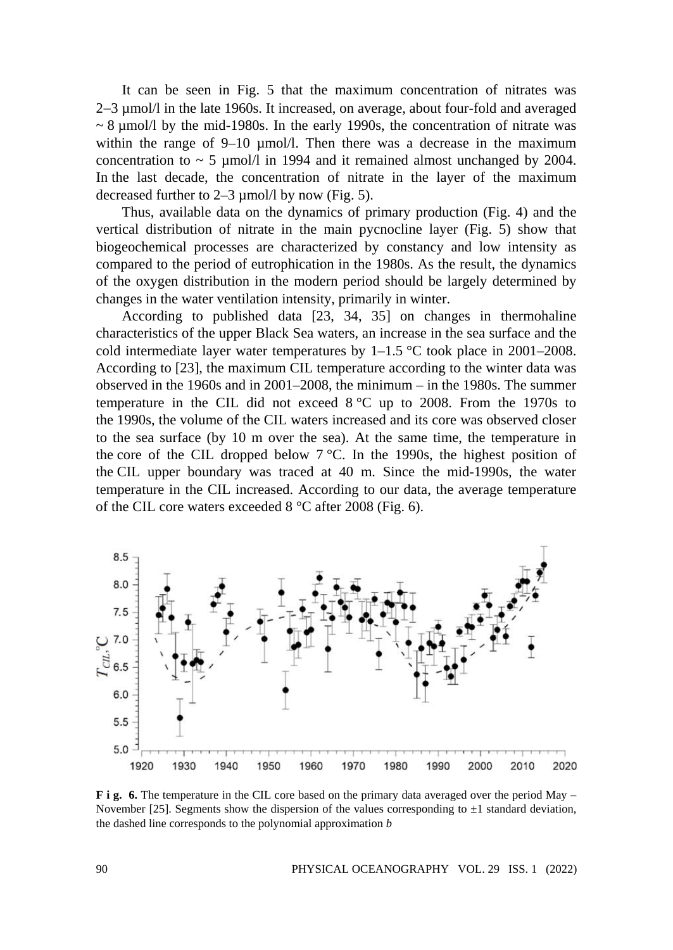It can be seen in Fig. 5 that the maximum concentration of nitrates was 2−3 µmol/l in the late 1960s. It increased, on average, about four-fold and averaged  $\sim$  8 µmol/l by the mid-1980s. In the early 1990s, the concentration of nitrate was within the range of  $9-10 \mu$  mol/l. Then there was a decrease in the maximum concentration to  $\sim$  5 µmol/l in 1994 and it remained almost unchanged by 2004. In the last decade, the concentration of nitrate in the layer of the maximum decreased further to 2–3 µmol/l by now (Fig. 5).

Thus, available data on the dynamics of primary production (Fig. 4) and the vertical distribution of nitrate in the main pycnocline layer (Fig. 5) show that biogeochemical processes are characterized by constancy and low intensity as compared to the period of eutrophication in the 1980s. As the result, the dynamics of the oxygen distribution in the modern period should be largely determined by changes in the water ventilation intensity, primarily in winter.

According to published data [23, 34, 35] on changes in thermohaline characteristics of the upper Black Sea waters, an increase in the sea surface and the cold intermediate layer water temperatures by  $1-1.5$  °C took place in 2001–2008. According to [23], the maximum CIL temperature according to the winter data was observed in the 1960s and in 2001–2008, the minimum – in the 1980s. The summer temperature in the CIL did not exceed  $8\degree$ C up to 2008. From the 1970s to the 1990s, the volume of the CIL waters increased and its core was observed closer to the sea surface (by 10 m over the sea). At the same time, the temperature in the core of the CIL dropped below  $7^{\circ}$ C. In the 1990s, the highest position of the CIL upper boundary was traced at 40 m. Since the mid-1990s, the water temperature in the CIL increased. According to our data, the average temperature of the CIL core waters exceeded 8 °C after 2008 (Fig. 6).



**F** i g. 6. The temperature in the CIL core based on the primary data averaged over the period May – November [25]. Segments show the dispersion of the values corresponding to  $\pm 1$  standard deviation, the dashed line corresponds to the polynomial approximation *b*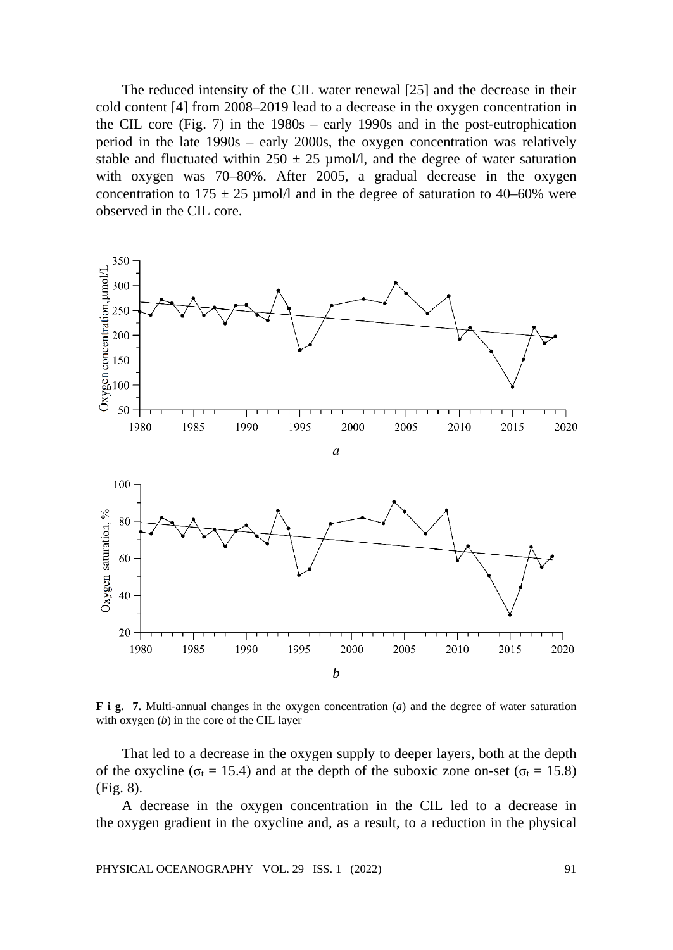The reduced intensity of the CIL water renewal [25] and the decrease in their cold content [4] from 2008–2019 lead to a decrease in the oxygen concentration in the CIL core (Fig. 7) in the 1980s – early 1990s and in the post-eutrophication period in the late 1990s – early 2000s, the oxygen concentration was relatively stable and fluctuated within  $250 \pm 25$  µmol/l, and the degree of water saturation with oxygen was 70–80%. After 2005, a gradual decrease in the oxygen concentration to  $175 \pm 25$  µmol/l and in the degree of saturation to 40–60% were observed in the CIL core.



**F i g. 7.** Multi-annual changes in the oxygen concentration (*a*) and the degree of water saturation with oxygen (*b*) in the core of the CIL layer

That led to a decrease in the oxygen supply to deeper layers, both at the depth of the oxycline ( $\sigma_t = 15.4$ ) and at the depth of the suboxic zone on-set ( $\sigma_t = 15.8$ ) (Fig. 8).

A decrease in the oxygen concentration in the CIL led to a decrease in the oxygen gradient in the oxycline and, as a result, to a reduction in the physical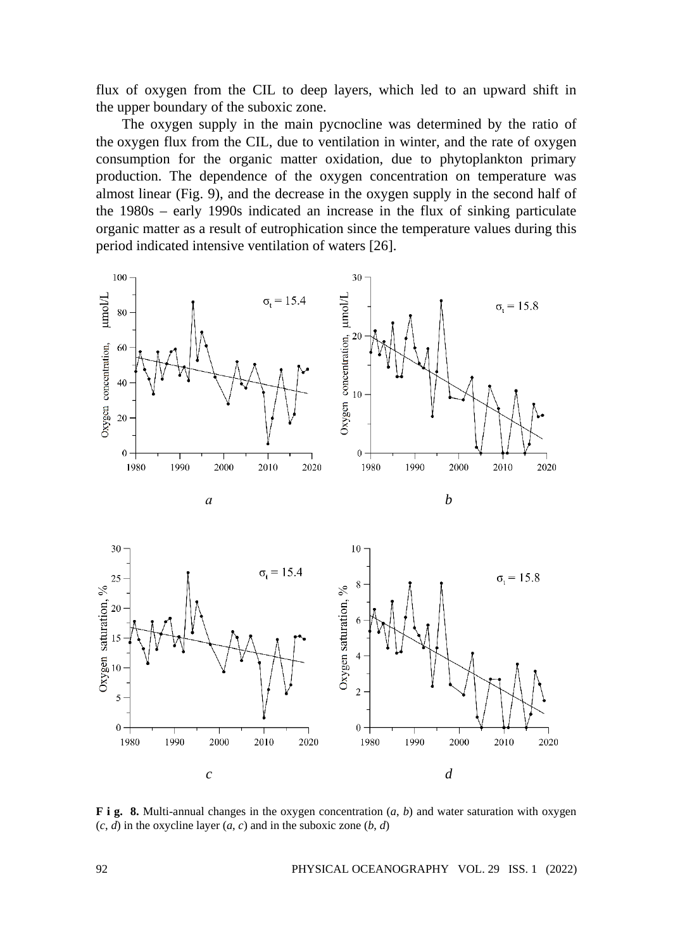flux of oxygen from the CIL to deep layers, which led to an upward shift in the upper boundary of the suboxic zone.

The oxygen supply in the main pycnocline was determined by the ratio of the oxygen flux from the CIL, due to ventilation in winter, and the rate of oxygen consumption for the organic matter oxidation, due to phytoplankton primary production. The dependence of the oxygen concentration on temperature was almost linear (Fig. 9), and the decrease in the oxygen supply in the second half of the 1980s – early 1990s indicated an increase in the flux of sinking particulate organic matter as a result of eutrophication since the temperature values during this period indicated intensive ventilation of waters [26].



**F i g. 8.** Multi-annual changes in the oxygen concentration (*a*, *b*) and water saturation with oxygen  $(c, d)$  in the oxycline layer  $(a, c)$  and in the suboxic zone  $(b, d)$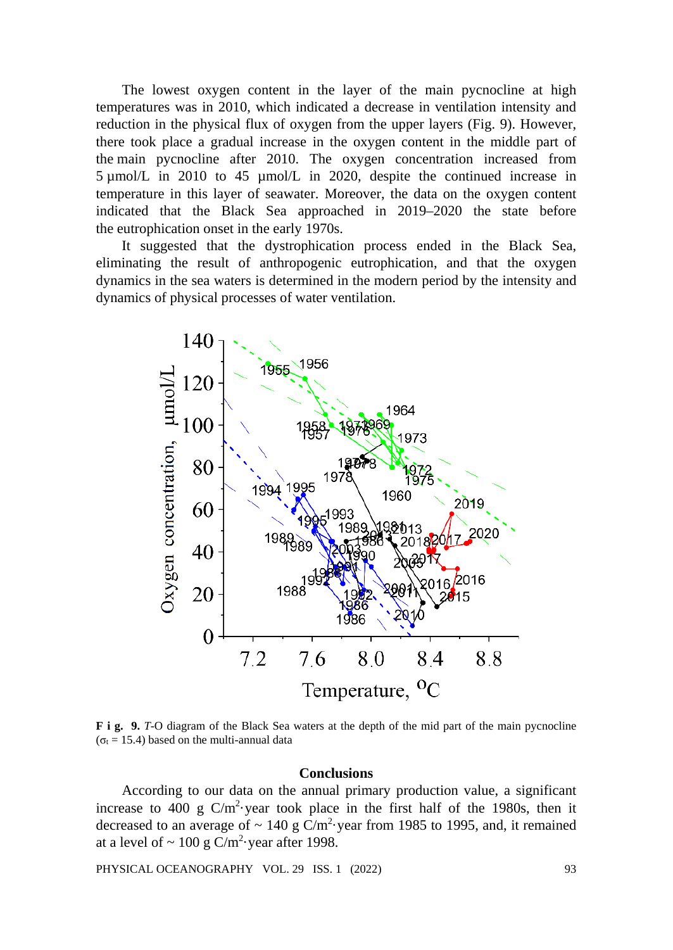The lowest oxygen content in the layer of the main pycnocline at high temperatures was in 2010, which indicated a decrease in ventilation intensity and reduction in the physical flux of oxygen from the upper layers (Fig. 9). However, there took place a gradual increase in the oxygen content in the middle part of the main pycnocline after 2010. The oxygen concentration increased from 5 µmol/L in 2010 to 45 µmol/L in 2020, despite the continued increase in temperature in this layer of seawater. Moreover, the data on the oxygen content indicated that the Black Sea approached in 2019–2020 the state before the eutrophication onset in the early 1970s.

It suggested that the dystrophication process ended in the Black Sea, eliminating the result of anthropogenic eutrophication, and that the oxygen dynamics in the sea waters is determined in the modern period by the intensity and dynamics of physical processes of water ventilation.



**F i g. 9.** *T*-O diagram of the Black Sea waters at the depth of the mid part of the main pycnocline ( $\sigma_t$  = 15.4) based on the multi-annual data

## **Conclusions**

According to our data on the annual primary production value, a significant increase to 400 g  $C/m^2$  year took place in the first half of the 1980s, then it decreased to an average of  $\sim 140$  g C/m<sup>2</sup> year from 1985 to 1995, and, it remained at a level of  $\sim 100 \text{ g C/m}^2$  year after 1998.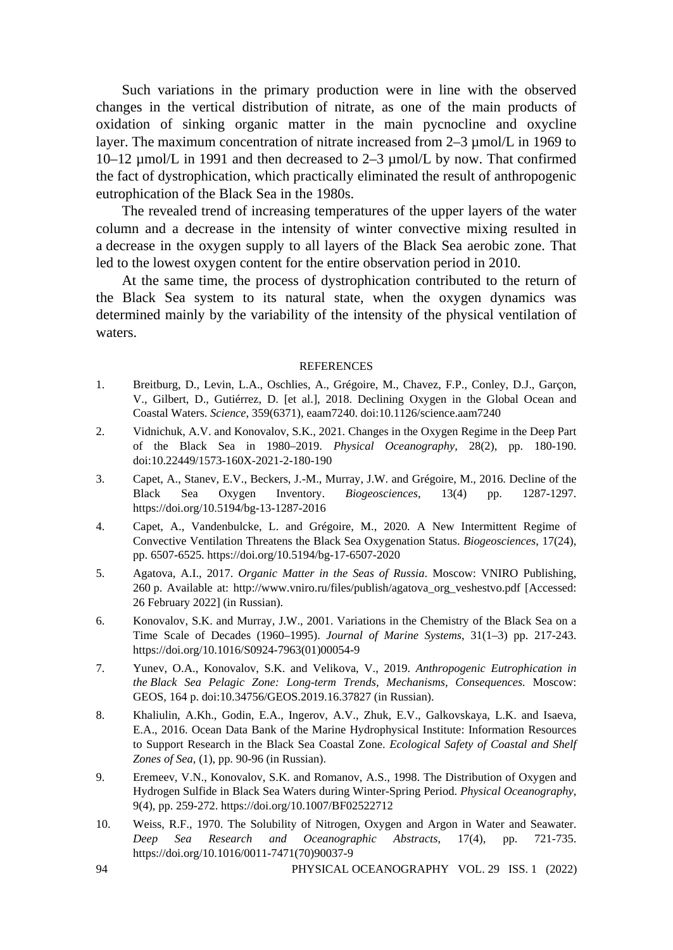Such variations in the primary production were in line with the observed changes in the vertical distribution of nitrate, as one of the main products of oxidation of sinking organic matter in the main pycnocline and oxycline layer. The maximum concentration of nitrate increased from 2–3  $\mu$ mol/L in 1969 to 10–12 µmol/L in 1991 and then decreased to 2–3 µmol/L by now. That confirmed the fact of dystrophication, which practically eliminated the result of anthropogenic eutrophication of the Black Sea in the 1980s.

The revealed trend of increasing temperatures of the upper layers of the water column and a decrease in the intensity of winter convective mixing resulted in a decrease in the oxygen supply to all layers of the Black Sea aerobic zone. That led to the lowest oxygen content for the entire observation period in 2010.

At the same time, the process of dystrophication contributed to the return of the Black Sea system to its natural state, when the oxygen dynamics was determined mainly by the variability of the intensity of the physical ventilation of waters.

#### REFERENCES

- 1. Breitburg, D., Levin, L.A., Oschlies, A., Grégoire, M., Chavez, F.P., Conley, D.J., Garçon, V., Gilbert, D., Gutiérrez, D. [et al.], 2018. Declining Oxygen in the Global Ocean and Coastal Waters. *Science*, 359(6371), eaam7240. doi:10.1126/science.aam7240
- 2. Vidnichuk, A.V. and Konovalov, S.K., 2021. Changes in the Oxygen Regime in the Deep Part of the Black Sea in 1980–2019. *Physical Oceanography,* 28(2), pp. 180-190. doi:10.22449/1573-160X-2021-2-180-190
- 3. Capet, A., Stanev, E.V., Beckers, J.-M., Murray, J.W. and Grégoire, M., 2016. Decline of the Black Sea Oxygen Inventory. *Biogeosciences*, 13(4) pp. 1287-1297. https://doi.org/10.5194/bg-13-1287-2016
- 4. Capet, A., Vandenbulcke, L. and Grégoire, M., 2020*.* A New Intermittent Regime of Convective Ventilation Threatens the Black Sea Oxygenation Status. *Biogeosciences*, 17(24), pp. 6507-6525. https://doi.org/10.5194/bg-17-6507-2020
- 5. Agatova, A.I., 2017. *Organic Matter in the Seas of Russia*. Moscow: VNIRO Publishing, 260 p. Available at: http://www.vniro.ru/files/publish/agatova\_org\_veshestvo.pdf [Accessed: 26 February 2022] (in Russian).
- 6. Konovalov, S.K. and Murray, J.W., 2001. Variations in the Chemistry of the Black Sea on a Time Scale of Decades (1960–1995). *Journal of Marine Systems*, 31(1–3) pp. 217-243. https://doi.org/10.1016/S0924-7963(01)00054-9
- 7. Yunev, O.A., Konovalov, S.K. and Velikova, V., 2019. *Anthropogenic Eutrophication in the Black Sea Pelagic Zone: Long-term Trends, Mechanisms, Consequences.* Moscow: GEOS, 164 p. doi:10.34756/GEOS.2019.16.37827 (in Russian).
- 8. Khaliulin, A.Kh., Godin, E.A., Ingerov, A.V., Zhuk, E.V., Galkovskaya, L.K. and Isaeva, E.A., 2016. Ocean Data Bank of the Marine Hydrophysical Institute: Information Resources to Support Research in the Black Sea Coastal Zone. *Ecological Safety of Coastal and Shelf Zones of Sea*, (1), pp. 90-96 (in Russian).
- 9. Eremeev, V.N., Konovalov, S.K. and Romanov, A.S., 1998. The Distribution of Oxygen and Hydrogen Sulfide in Black Sea Waters during Winter-Spring Period. *Physical Oceanography*, 9(4), pp. 259-272[. https://doi.org/10.1007/BF02522712](https://doi.org/10.1007/BF02522712)
- 10. Weiss, R.F., 1970. The Solubility of Nitrogen, Oxygen and Argon in Water and Seawater. *Deep Sea Research and Oceanographic Abstracts*, 17(4), pp. 721-735. https://doi.org/10.1016/0011-7471(70)90037-9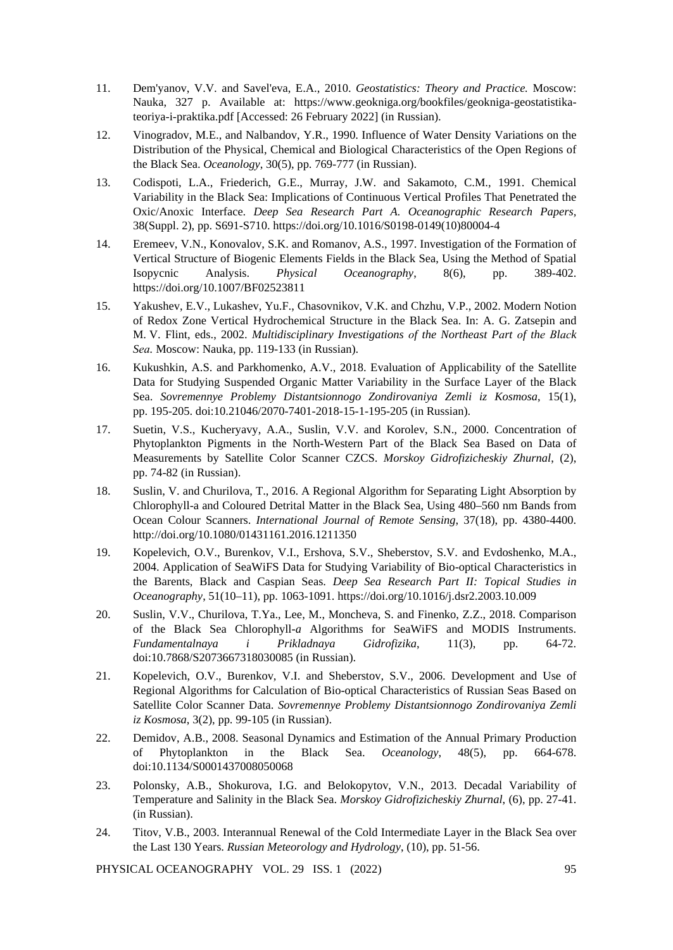- 11. Dem'yanov, V.V. and Savel'eva, E.A., 2010. *Geostatistics: Theory and Practice.* Moscow: Nauka, 327 p. Available at: https://www.geokniga.org/bookfiles/geokniga-geostatistikateoriya-i-praktika.pdf [Accessed: 26 February 2022] (in Russian).
- 12. Vinogradov, M.E., and Nalbandov, Y.R., 1990. Influence of Water Density Variations on the Distribution of the Physical, Chemical and Biological Characteristics of the Open Regions of the Black Sea. *Oceanology*, 30(5), pp. 769-777 (in Russian).
- 13. [Codispoti, L.A.,](https://www.sciencedirect.com/science/article/abs/pii/S0198014910800044?via%3Dihub%23!) [Friederich, G.E.,](https://www.sciencedirect.com/science/article/abs/pii/S0198014910800044?via%3Dihub%23!) [Murray, J.W.](https://www.sciencedirect.com/science/article/abs/pii/S0198014910800044?via%3Dihub%23!) and [Sakamoto,](https://www.sciencedirect.com/science/article/abs/pii/S0198014910800044?via%3Dihub%23!) C.M., 1991. Chemical Variability in the Black Sea: Implications of Continuous Vertical Profiles That Penetrated the Oxic/Anoxic Interface. *Deep Sea Research Part A. Oceanographic Research Papers,* 38(Suppl. 2), pp. S691-S710[. https://doi.org/10.1016/S0198-0149\(10\)80004-4](https://doi.org/10.1016/S0198-0149(10)80004-4)
- 14. Eremeev, V.N., Konovalov, S.K. and Romanov, A.S., 1997. Investigation of the Formation of Vertical Structure of Biogenic Elements Fields in the Black Sea, Using the Method of Spatial Isopycnic Analysis. *Physical Oceanography*, 8(6), pp. 389-402. https://doi.org/10.1007/BF02523811
- 15. Yakushev, E.V., Lukashev, Yu.F., Chasovnikov, V.K. and Chzhu, V.P., 2002. Modern Notion of Redox Zone Vertical Hydrochemical Structure in the Black Sea. In: A. G. Zatsepin and M. V. Flint, eds., 2002. *Multidisciplinary Investigations оf the Northeast Pаrt оf thе Вlасk Sеа.* Moscow: Nauka, pp. 119-133 (in Russian).
- 16. Kukushkin, A.S. and Parkhomenko, A.V., 2018. Evaluation of Applicability of the Satellite Data for Studying Suspended Organic Matter Variability in the Surface Layer of the Black Sea. *Sovremennye Problemy Distantsionnogo Zondirovaniya Zemli iz Kosmosa*, 15(1), pp. 195-205. doi:10.21046/2070-7401-2018-15-1-195-205 (in Russian).
- 17. Suetin, V.S., Kucheryavy, A.A., Suslin, V.V. and Korolev, S.N., 2000. Concentration of Phytoplankton Pigments in the North-Western Part of the Black Sea Based on Data of Measurements by Satellite Color Scanner CZCS. *Morskoy Gidrofizicheskiy Zhurnal*, (2), pp. 74-82 (in Russian).
- 18. Suslin, V. and Churilova, T., 2016. A Regional Algorithm for Separating Light Absorption by Chlorophyll-a and Coloured Detrital Matter in the Black Sea, Using 480–560 nm Bands from Ocean Colour Scanners. *International Journal of Remote Sensing*, 37(18), pp. 4380-4400. http://doi.org/10.1080/01431161.2016.1211350
- 19. [Kopelevich,](https://ur.booksc.eu/g/O.V.%20Kopelevich) O.V., [Burenkov,](https://ur.booksc.eu/g/V.I.%20Burenkov) V.I., [Ershova,](https://ur.booksc.eu/g/S.V.%20Ershova) S.V., [Sheberstov,](https://ur.booksc.eu/g/S.V.%20Sheberstov) S.V. and [Evdoshenko,](https://ur.booksc.eu/g/M.A.%20Evdoshenko) M.A., 2004. Application of SeaWiFS Data for Studying Variability of Bio-optical Characteristics in the Barents, Black and Caspian Seas. *Deep Sea Research Part II: Topical Studies in Oceanography*, 51(10–11), pp. 1063-1091. https://doi.org/10.1016/j.dsr2.2003.10.009
- 20. Suslin, V.V., Churilova, T.Ya., Lee, M., Moncheva, S. and Finenko, Z.Z., 2018. Comparison of the Black Sea Chlorophyll-*a* Algorithms for SeaWiFS and MODIS Instruments. *Fundamentalnaya i Prikladnaya Gidrofizika*, 11(3), pp. 64-72. doi:10.7868/S2073667318030085 (in Russian).
- 21. Kopelevich, O.V., Burenkov, V.I. and Sheberstov, S.V., 2006. Development and Use of Regional Algorithms for Calculation of Bio-optical Characteristics of Russian Seas Based on Satellite Color Scanner Data. *Sovremennye Problemy Distantsionnogo Zondirovaniya Zemli iz Kosmosa*, 3(2), pp. 99-105 (in Russian).
- 22. Demidov, A.B., 2008. Seasonal Dynamics and Estimation of the Annual Primary Production of Phytoplankton in the Black Sea. *Oceanology*, 48(5), pp. 664-678. doi[:10.1134/S0001437008050068](https://doi.org/10.1134/S0001437008050068)
- 23. Polonsky, A.B., Shokurova, I.G. and Belokopytov, V.N., 2013. Decadal Variability of Temperature and Salinity in the Black Sea. *Morskoy Gidrofizicheskiy Zhurnal*, (6), pp. 27-41. (in Russian).
- 24. Titov, V.B., 2003. Interannual Renewal of the Cold Intermediate Layer in the Black Sea over the Last 130 Years. *Russian Meteorology and Hydrology*, (10), pp. 51-56.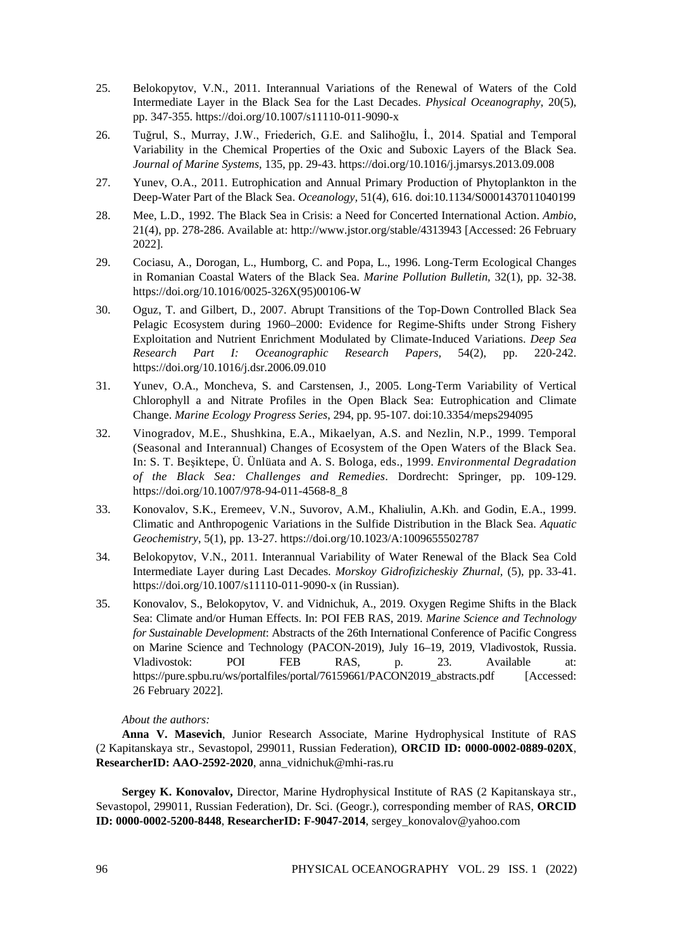- 25. Belokopytov, V.N., 2011. Interannual Variations of the Renewal of Waters of the Cold Intermediate Layer in the Black Sea for the Last Decades. *Physical Oceanography*, 20(5), pp. 347-355.<https://doi.org/10.1007/s11110-011-9090-x>
- 26. Tuğrul, S., Murray, J.W., Friederich, G.E. and Salihoğlu, İ., 2014. Spatial and Temporal Variability in the Chemical Properties of the Oxic and Suboxic Layers of the Black Sea. *Journal of Marine Systems,* 135, pp. 29-43. https://doi.org/10.1016/j.jmarsys.2013.09.008
- 27. Yunev, O.A., 2011. [Eutrophication and Annual Primary Production of Phytoplankton in the](https://www.elibrary.ru/item.asp?id=18181578)  [Deep-Water Part of the Black Sea.](https://www.elibrary.ru/item.asp?id=18181578) *[Oceanology,](https://www.elibrary.ru/contents.asp?id=33753711)* 5[1\(4\)](https://www.elibrary.ru/contents.asp?id=33753711&selid=18181578), 616. do[i:10.1134/S0001437011040199](https://doi.org/10.1134/S0001437011040199)
- 28. Mee, L.D., 1992. The Black Sea in Crisis: a Need for Concerted International Action. *Ambio*, 21(4), pp. 278-286. Available at: http://www.jstor.org/stable/4313943 [Accessed: 26 February 2022].
- 29. [Cociasu,](https://ur.booksc.eu/g/Adriana%20Cociasu) A., [Dorogan,](https://ur.booksc.eu/g/Liliana%20Dorogan) L., [Humborg,](https://ur.booksc.eu/g/Christoph%20Humborg) C. and [Popa,](https://ur.booksc.eu/g/Luci%20Popa) L., 1996. Long-Term Ecological Changes in Romanian Coastal Waters of the Black Sea. *Marine Pollution Bulletin,* 32(1), pp. 32-38. https://doi.org/10.1016/0025-326X(95)00106-W
- 30. Oguz, T. and Gilbert, D., 2007. Abrupt Transitions of the Top-Down Controlled Black Sea Pelagic Ecosystem during 1960–2000: Evidence for Regime-Shifts under Strong Fishery Exploitation and Nutrient Enrichment Modulated by Climate-Induced Variations. *Deep Sea Research Part I: Oceanographic Research Papers,* 54(2), pp. 220-242. https://doi.org/10.1016/j.dsr.2006.09.010
- 31. Yunev, O.A., Moncheva, S. and Carstensen, J., 2005. Long-Term Variability of Vertical Chlorophyll a and Nitrate Profiles in the Open Black Sea: Eutrophication and Climate Change. *Marine Ecology Progress Series*, 294, pp. 95-107. doi:10.3354/meps294095
- 32. Vinogradov, M.E., Shushkina, E.A., Mikaelyan, A.S. and Nezlin, N.P., 1999. Temporal (Seasonal and Interannual) Changes of Ecosystem of the Open Waters of the Black Sea. In: S. T. Beşiktepe, Ü. Ünlüata and A. S. Bologa, eds., 1999. *Environmental Degradation of the Black Sea: Challenges and Remedies*. Dordrecht: Springer, pp. 109-129. https://doi.org/10.1007/978-94-011-4568-8\_8
- 33. Konovalov, S.K., Eremeev, V.N., Suvorov, A.M., Khaliulin, A.Kh. and Godin, E.A., 1999. Climatic and Anthropogenic Variations in the Sulfide Distribution in the Black Sea. *Aquatic Geochemistry*, 5(1), pp. 13-27. https://doi.org/10.1023/A:1009655502787
- 34. Belokopytov, V.N., 2011. Interannual Variability of Water Renewal of the Black Sea Cold Intermediate Layer during Last Decades. *Morskoy Gidrofizicheskiy Zhurnal,* (5), pp. 33-41. <https://doi.org/10.1007/s11110-011-9090-x> (in Russian).
- 35. Konovalov, S., Belokopytov, V. and Vidnichuk, A., 2019. Oxygen Regime Shifts in the Black Sea: Climate and/or Human Effects. In: POI FEB RAS, 2019. *Marine Science and Technology for Sustainable Development*: Abstracts of the 26th International Conference of Pacific Congress on Marine Science and Technology (PACON-2019), July 16–19, 2019, Vladivostok, Russia. Vladivostok: POI FEB RAS, p. 23. Available at: https://pure.spbu.ru/ws/portalfiles/portal/76159661/PACON2019\_abstracts.pdf [Accessed: 26 February 2022].

#### *About the authors:*

**Anna V. Masevich**, Junior Research Associate, Marine Hydrophysical Institute of RAS (2 Kapitanskaya str., Sevastopol, 299011, Russian Federation), **ORCID ID: 0000-0002-0889-020X**, **ResearcherID: AAO-2592-2020**, anna\_vidnichuk@mhi-ras.ru

**Sergey K. Konovalov,** Director, Marine Hydrophysical Institute of RAS (2 Kapitanskaya str., Sevastopol, 299011, Russian Federation), Dr. Sci. (Geogr.), corresponding member of RAS, **ORCID ID: 0000-0002-5200-8448**, **ResearcherID: F-9047-2014**, sergey\_konovalov@yahoo.com